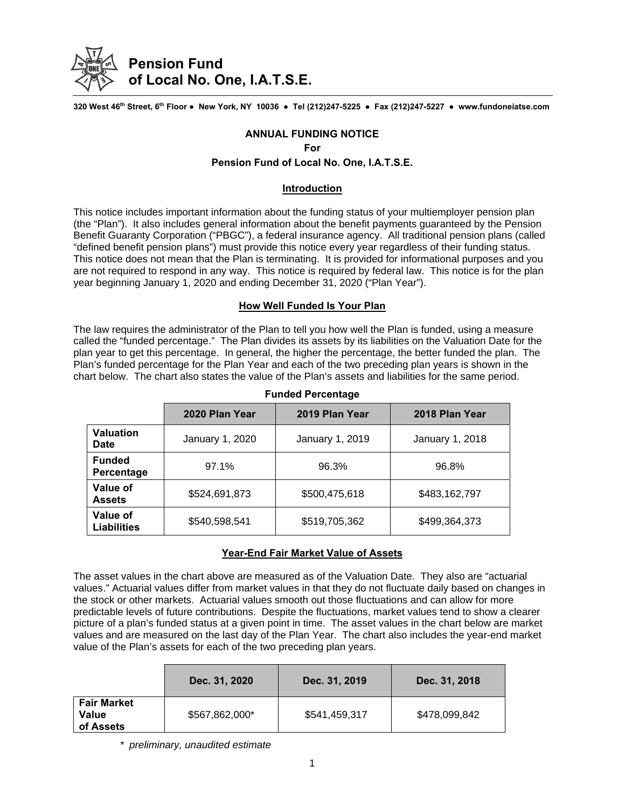

**320 West 46th Street, 6th Floor ● New York, NY 10036 ● Tel (212)247-5225 ● Fax (212)247-5227 ● www.fundoneiatse.com** 

# **ANNUAL FUNDING NOTICE For Pension Fund of Local No. One, I.A.T.S.E.**

# **Introduction**

This notice includes important information about the funding status of your multiemployer pension plan (the "Plan"). It also includes general information about the benefit payments guaranteed by the Pension Benefit Guaranty Corporation ("PBGC"), a federal insurance agency. All traditional pension plans (called "defined benefit pension plans") must provide this notice every year regardless of their funding status. This notice does not mean that the Plan is terminating. It is provided for informational purposes and you are not required to respond in any way. This notice is required by federal law. This notice is for the plan year beginning January 1, 2020 and ending December 31, 2020 ("Plan Year").

### **How Well Funded Is Your Plan**

The law requires the administrator of the Plan to tell you how well the Plan is funded, using a measure called the "funded percentage." The Plan divides its assets by its liabilities on the Valuation Date for the plan year to get this percentage. In general, the higher the percentage, the better funded the plan. The Plan's funded percentage for the Plan Year and each of the two preceding plan years is shown in the chart below. The chart also states the value of the Plan's assets and liabilities for the same period.

|                                 | 2020 Plan Year  | 2019 Plan Year  | 2018 Plan Year  |  |
|---------------------------------|-----------------|-----------------|-----------------|--|
| <b>Valuation</b><br><b>Date</b> | January 1, 2020 | January 1, 2019 | January 1, 2018 |  |
| <b>Funded</b><br>Percentage     | 97.1%           | 96.3%           | 96.8%           |  |
| Value of<br><b>Assets</b>       | \$524,691,873   | \$500,475,618   | \$483,162,797   |  |
| Value of<br><b>Liabilities</b>  | \$540,598,541   | \$519,705,362   | \$499,364,373   |  |

# **Funded Percentage**

# **Year-End Fair Market Value of Assets**

The asset values in the chart above are measured as of the Valuation Date. They also are "actuarial values." Actuarial values differ from market values in that they do not fluctuate daily based on changes in the stock or other markets. Actuarial values smooth out those fluctuations and can allow for more predictable levels of future contributions. Despite the fluctuations, market values tend to show a clearer picture of a plan's funded status at a given point in time. The asset values in the chart below are market values and are measured on the last day of the Plan Year. The chart also includes the year-end market value of the Plan's assets for each of the two preceding plan years.

|                                                 | Dec. 31, 2020  | Dec. 31, 2019 | Dec. 31, 2018 |
|-------------------------------------------------|----------------|---------------|---------------|
| <b>Fair Market</b><br><b>Value</b><br>of Assets | \$567,862,000* | \$541,459,317 | \$478,099,842 |

*\* preliminary, unaudited estimate*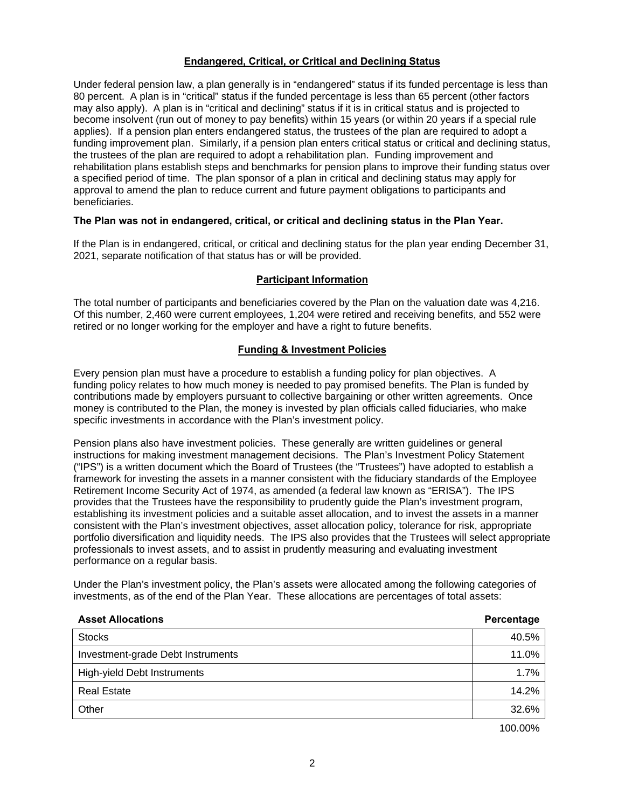# **Endangered, Critical, or Critical and Declining Status**

Under federal pension law, a plan generally is in "endangered" status if its funded percentage is less than 80 percent. A plan is in "critical" status if the funded percentage is less than 65 percent (other factors may also apply). A plan is in "critical and declining" status if it is in critical status and is projected to become insolvent (run out of money to pay benefits) within 15 years (or within 20 years if a special rule applies). If a pension plan enters endangered status, the trustees of the plan are required to adopt a funding improvement plan. Similarly, if a pension plan enters critical status or critical and declining status, the trustees of the plan are required to adopt a rehabilitation plan. Funding improvement and rehabilitation plans establish steps and benchmarks for pension plans to improve their funding status over a specified period of time. The plan sponsor of a plan in critical and declining status may apply for approval to amend the plan to reduce current and future payment obligations to participants and beneficiaries.

### **The Plan was not in endangered, critical, or critical and declining status in the Plan Year.**

If the Plan is in endangered, critical, or critical and declining status for the plan year ending December 31, 2021, separate notification of that status has or will be provided.

### **Participant Information**

The total number of participants and beneficiaries covered by the Plan on the valuation date was 4,216. Of this number, 2,460 were current employees, 1,204 were retired and receiving benefits, and 552 were retired or no longer working for the employer and have a right to future benefits.

### **Funding & Investment Policies**

Every pension plan must have a procedure to establish a funding policy for plan objectives. A funding policy relates to how much money is needed to pay promised benefits. The Plan is funded by contributions made by employers pursuant to collective bargaining or other written agreements. Once money is contributed to the Plan, the money is invested by plan officials called fiduciaries, who make specific investments in accordance with the Plan's investment policy.

Pension plans also have investment policies. These generally are written guidelines or general instructions for making investment management decisions. The Plan's Investment Policy Statement ("IPS") is a written document which the Board of Trustees (the "Trustees") have adopted to establish a framework for investing the assets in a manner consistent with the fiduciary standards of the Employee Retirement Income Security Act of 1974, as amended (a federal law known as "ERISA"). The IPS provides that the Trustees have the responsibility to prudently guide the Plan's investment program, establishing its investment policies and a suitable asset allocation, and to invest the assets in a manner consistent with the Plan's investment objectives, asset allocation policy, tolerance for risk, appropriate portfolio diversification and liquidity needs. The IPS also provides that the Trustees will select appropriate professionals to invest assets, and to assist in prudently measuring and evaluating investment performance on a regular basis.

Under the Plan's investment policy, the Plan's assets were allocated among the following categories of investments, as of the end of the Plan Year. These allocations are percentages of total assets:

| <b>Asset Allocations</b>          | Percentage |
|-----------------------------------|------------|
| <b>Stocks</b>                     | 40.5%      |
| Investment-grade Debt Instruments | 11.0%      |
| High-yield Debt Instruments       | 1.7%       |
| <b>Real Estate</b>                | 14.2%      |
| Other                             | 32.6%      |
|                                   |            |

100.00%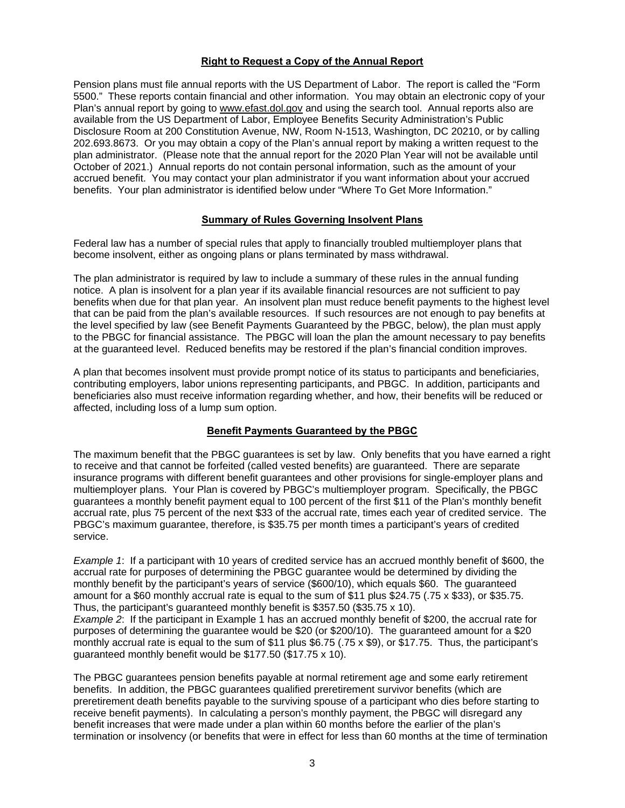# **Right to Request a Copy of the Annual Report**

Pension plans must file annual reports with the US Department of Labor. The report is called the "Form 5500." These reports contain financial and other information. You may obtain an electronic copy of your Plan's annual report by going to www.efast.dol.gov and using the search tool. Annual reports also are available from the US Department of Labor, Employee Benefits Security Administration's Public Disclosure Room at 200 Constitution Avenue, NW, Room N-1513, Washington, DC 20210, or by calling 202.693.8673. Or you may obtain a copy of the Plan's annual report by making a written request to the plan administrator. (Please note that the annual report for the 2020 Plan Year will not be available until October of 2021.) Annual reports do not contain personal information, such as the amount of your accrued benefit. You may contact your plan administrator if you want information about your accrued benefits. Your plan administrator is identified below under "Where To Get More Information."

#### **Summary of Rules Governing Insolvent Plans**

Federal law has a number of special rules that apply to financially troubled multiemployer plans that become insolvent, either as ongoing plans or plans terminated by mass withdrawal.

The plan administrator is required by law to include a summary of these rules in the annual funding notice. A plan is insolvent for a plan year if its available financial resources are not sufficient to pay benefits when due for that plan year. An insolvent plan must reduce benefit payments to the highest level that can be paid from the plan's available resources. If such resources are not enough to pay benefits at the level specified by law (see Benefit Payments Guaranteed by the PBGC, below), the plan must apply to the PBGC for financial assistance. The PBGC will loan the plan the amount necessary to pay benefits at the guaranteed level. Reduced benefits may be restored if the plan's financial condition improves.

A plan that becomes insolvent must provide prompt notice of its status to participants and beneficiaries, contributing employers, labor unions representing participants, and PBGC. In addition, participants and beneficiaries also must receive information regarding whether, and how, their benefits will be reduced or affected, including loss of a lump sum option.

#### **Benefit Payments Guaranteed by the PBGC**

The maximum benefit that the PBGC guarantees is set by law. Only benefits that you have earned a right to receive and that cannot be forfeited (called vested benefits) are guaranteed. There are separate insurance programs with different benefit guarantees and other provisions for single-employer plans and multiemployer plans. Your Plan is covered by PBGC's multiemployer program. Specifically, the PBGC guarantees a monthly benefit payment equal to 100 percent of the first \$11 of the Plan's monthly benefit accrual rate, plus 75 percent of the next \$33 of the accrual rate, times each year of credited service. The PBGC's maximum guarantee, therefore, is \$35.75 per month times a participant's years of credited service.

*Example 1*: If a participant with 10 years of credited service has an accrued monthly benefit of \$600, the accrual rate for purposes of determining the PBGC guarantee would be determined by dividing the monthly benefit by the participant's years of service (\$600/10), which equals \$60. The guaranteed amount for a \$60 monthly accrual rate is equal to the sum of \$11 plus \$24.75 (.75 x \$33), or \$35.75. Thus, the participant's guaranteed monthly benefit is \$357.50 (\$35.75 x 10). *Example 2*: If the participant in Example 1 has an accrued monthly benefit of \$200, the accrual rate for purposes of determining the guarantee would be \$20 (or \$200/10). The guaranteed amount for a \$20

monthly accrual rate is equal to the sum of \$11 plus \$6.75 (.75 x \$9), or \$17.75. Thus, the participant's guaranteed monthly benefit would be \$177.50 (\$17.75 x 10).

The PBGC guarantees pension benefits payable at normal retirement age and some early retirement benefits. In addition, the PBGC guarantees qualified preretirement survivor benefits (which are preretirement death benefits payable to the surviving spouse of a participant who dies before starting to receive benefit payments). In calculating a person's monthly payment, the PBGC will disregard any benefit increases that were made under a plan within 60 months before the earlier of the plan's termination or insolvency (or benefits that were in effect for less than 60 months at the time of termination